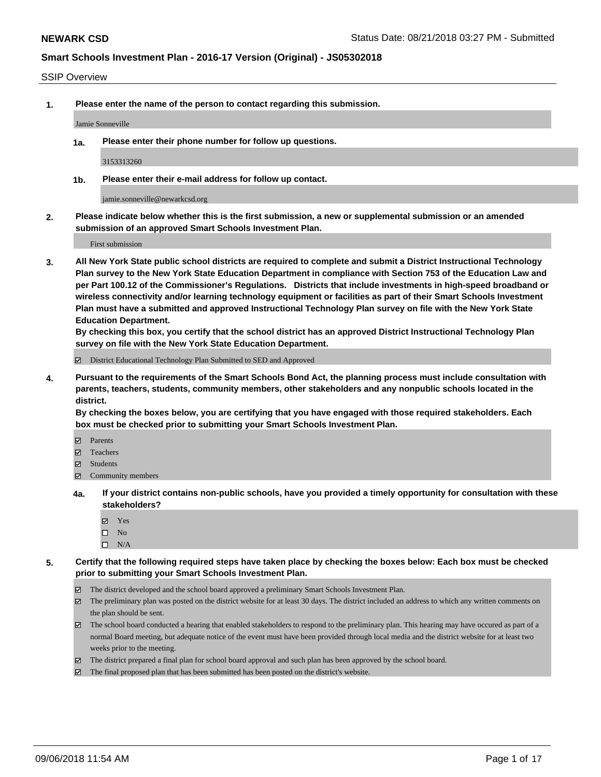#### SSIP Overview

**1. Please enter the name of the person to contact regarding this submission.**

Jamie Sonneville

**1a. Please enter their phone number for follow up questions.**

3153313260

**1b. Please enter their e-mail address for follow up contact.**

jamie.sonneville@newarkcsd.org

**2. Please indicate below whether this is the first submission, a new or supplemental submission or an amended submission of an approved Smart Schools Investment Plan.**

First submission

**3. All New York State public school districts are required to complete and submit a District Instructional Technology Plan survey to the New York State Education Department in compliance with Section 753 of the Education Law and per Part 100.12 of the Commissioner's Regulations. Districts that include investments in high-speed broadband or wireless connectivity and/or learning technology equipment or facilities as part of their Smart Schools Investment Plan must have a submitted and approved Instructional Technology Plan survey on file with the New York State Education Department.** 

**By checking this box, you certify that the school district has an approved District Instructional Technology Plan survey on file with the New York State Education Department.**

District Educational Technology Plan Submitted to SED and Approved

**4. Pursuant to the requirements of the Smart Schools Bond Act, the planning process must include consultation with parents, teachers, students, community members, other stakeholders and any nonpublic schools located in the district.** 

**By checking the boxes below, you are certifying that you have engaged with those required stakeholders. Each box must be checked prior to submitting your Smart Schools Investment Plan.**

- **Parents**
- Teachers
- **☑** Students
- **☑** Community members
- **4a. If your district contains non-public schools, have you provided a timely opportunity for consultation with these stakeholders?**
	- **Ø** Yes
	- $\square$  No
	- $\square$  N/A
- **5. Certify that the following required steps have taken place by checking the boxes below: Each box must be checked prior to submitting your Smart Schools Investment Plan.**
	- The district developed and the school board approved a preliminary Smart Schools Investment Plan.
	- $\boxtimes$  The preliminary plan was posted on the district website for at least 30 days. The district included an address to which any written comments on the plan should be sent.
	- The school board conducted a hearing that enabled stakeholders to respond to the preliminary plan. This hearing may have occured as part of a normal Board meeting, but adequate notice of the event must have been provided through local media and the district website for at least two weeks prior to the meeting.
	- The district prepared a final plan for school board approval and such plan has been approved by the school board.
	- The final proposed plan that has been submitted has been posted on the district's website.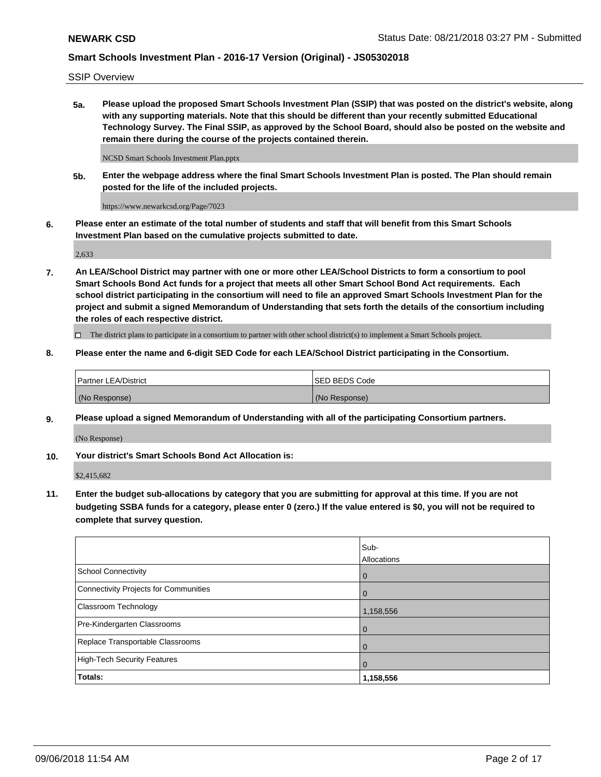SSIP Overview

**5a. Please upload the proposed Smart Schools Investment Plan (SSIP) that was posted on the district's website, along with any supporting materials. Note that this should be different than your recently submitted Educational Technology Survey. The Final SSIP, as approved by the School Board, should also be posted on the website and remain there during the course of the projects contained therein.**

NCSD Smart Schools Investment Plan.pptx

**5b. Enter the webpage address where the final Smart Schools Investment Plan is posted. The Plan should remain posted for the life of the included projects.**

https://www.newarkcsd.org/Page/7023

**6. Please enter an estimate of the total number of students and staff that will benefit from this Smart Schools Investment Plan based on the cumulative projects submitted to date.**

2,633

**7. An LEA/School District may partner with one or more other LEA/School Districts to form a consortium to pool Smart Schools Bond Act funds for a project that meets all other Smart School Bond Act requirements. Each school district participating in the consortium will need to file an approved Smart Schools Investment Plan for the project and submit a signed Memorandum of Understanding that sets forth the details of the consortium including the roles of each respective district.**

 $\Box$  The district plans to participate in a consortium to partner with other school district(s) to implement a Smart Schools project.

#### **8. Please enter the name and 6-digit SED Code for each LEA/School District participating in the Consortium.**

| Partner LEA/District | <b>ISED BEDS Code</b> |
|----------------------|-----------------------|
| (No Response)        | (No Response)         |

#### **9. Please upload a signed Memorandum of Understanding with all of the participating Consortium partners.**

(No Response)

**10. Your district's Smart Schools Bond Act Allocation is:**

\$2,415,682

**11. Enter the budget sub-allocations by category that you are submitting for approval at this time. If you are not budgeting SSBA funds for a category, please enter 0 (zero.) If the value entered is \$0, you will not be required to complete that survey question.**

|                                       | Sub-<br><b>Allocations</b> |
|---------------------------------------|----------------------------|
| School Connectivity                   | l 0                        |
| Connectivity Projects for Communities | $\Omega$                   |
| <b>Classroom Technology</b>           | 1,158,556                  |
| Pre-Kindergarten Classrooms           | $\overline{0}$             |
| Replace Transportable Classrooms      | $\Omega$                   |
| High-Tech Security Features           | $\overline{0}$             |
| Totals:                               | 1,158,556                  |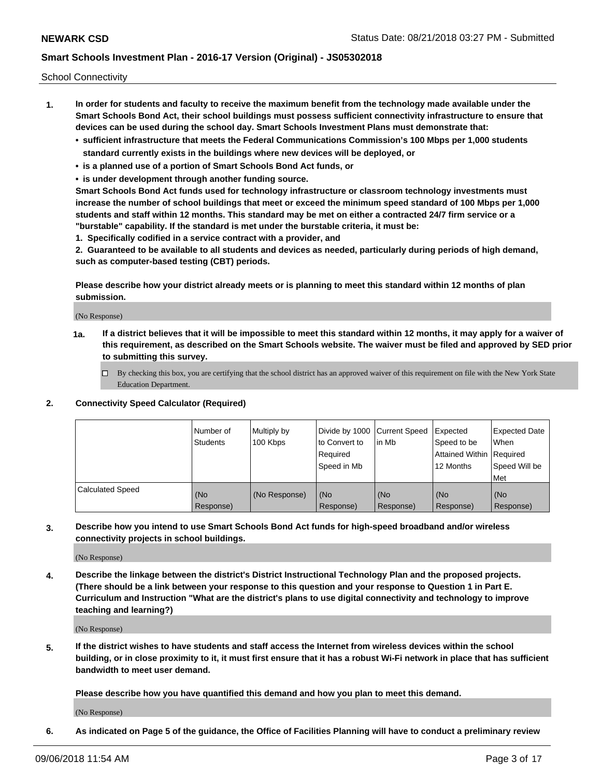School Connectivity

- **1. In order for students and faculty to receive the maximum benefit from the technology made available under the Smart Schools Bond Act, their school buildings must possess sufficient connectivity infrastructure to ensure that devices can be used during the school day. Smart Schools Investment Plans must demonstrate that:**
	- **• sufficient infrastructure that meets the Federal Communications Commission's 100 Mbps per 1,000 students standard currently exists in the buildings where new devices will be deployed, or**
	- **• is a planned use of a portion of Smart Schools Bond Act funds, or**
	- **• is under development through another funding source.**

**Smart Schools Bond Act funds used for technology infrastructure or classroom technology investments must increase the number of school buildings that meet or exceed the minimum speed standard of 100 Mbps per 1,000 students and staff within 12 months. This standard may be met on either a contracted 24/7 firm service or a "burstable" capability. If the standard is met under the burstable criteria, it must be:**

**1. Specifically codified in a service contract with a provider, and**

**2. Guaranteed to be available to all students and devices as needed, particularly during periods of high demand, such as computer-based testing (CBT) periods.**

**Please describe how your district already meets or is planning to meet this standard within 12 months of plan submission.**

(No Response)

**1a. If a district believes that it will be impossible to meet this standard within 12 months, it may apply for a waiver of this requirement, as described on the Smart Schools website. The waiver must be filed and approved by SED prior to submitting this survey.**

 $\Box$  By checking this box, you are certifying that the school district has an approved waiver of this requirement on file with the New York State Education Department.

#### **2. Connectivity Speed Calculator (Required)**

|                         | Number of<br>Students | Multiply by<br>100 Kbps | Divide by 1000 Current Speed<br>to Convert to<br>Required<br>Speed in Mb | lin Mb           | Expected<br>Speed to be<br>Attained Within   Required<br>12 Months | <b>Expected Date</b><br>When<br>Speed Will be<br><b>Met</b> |
|-------------------------|-----------------------|-------------------------|--------------------------------------------------------------------------|------------------|--------------------------------------------------------------------|-------------------------------------------------------------|
| <b>Calculated Speed</b> | (No<br>Response)      | (No Response)           | (No<br>Response)                                                         | (No<br>Response) | (No<br>Response)                                                   | (No<br>Response)                                            |

**3. Describe how you intend to use Smart Schools Bond Act funds for high-speed broadband and/or wireless connectivity projects in school buildings.**

(No Response)

**4. Describe the linkage between the district's District Instructional Technology Plan and the proposed projects. (There should be a link between your response to this question and your response to Question 1 in Part E. Curriculum and Instruction "What are the district's plans to use digital connectivity and technology to improve teaching and learning?)**

(No Response)

**5. If the district wishes to have students and staff access the Internet from wireless devices within the school building, or in close proximity to it, it must first ensure that it has a robust Wi-Fi network in place that has sufficient bandwidth to meet user demand.**

**Please describe how you have quantified this demand and how you plan to meet this demand.**

(No Response)

**6. As indicated on Page 5 of the guidance, the Office of Facilities Planning will have to conduct a preliminary review**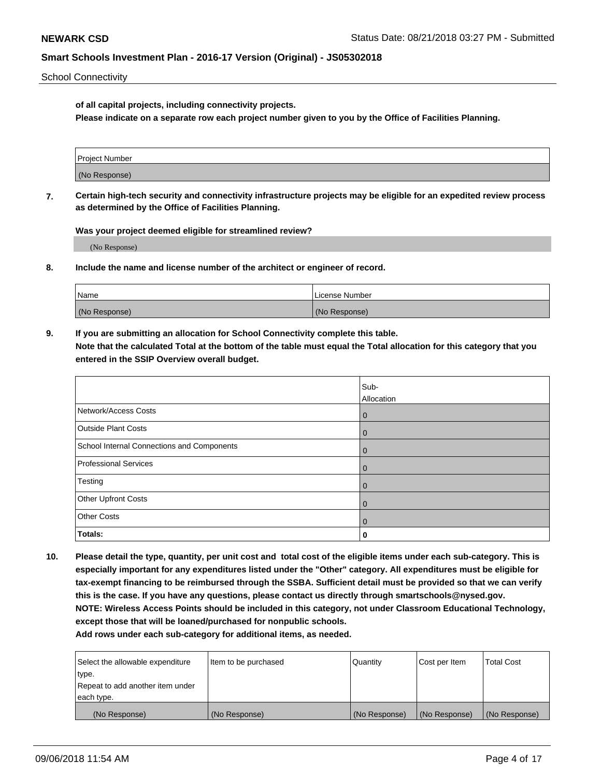School Connectivity

**of all capital projects, including connectivity projects.**

**Please indicate on a separate row each project number given to you by the Office of Facilities Planning.**

| Project Number |  |
|----------------|--|
|                |  |
|                |  |
|                |  |
| (No Response)  |  |
|                |  |
|                |  |
|                |  |

**7. Certain high-tech security and connectivity infrastructure projects may be eligible for an expedited review process as determined by the Office of Facilities Planning.**

**Was your project deemed eligible for streamlined review?**

(No Response)

**8. Include the name and license number of the architect or engineer of record.**

| Name          | License Number |
|---------------|----------------|
| (No Response) | (No Response)  |

**9. If you are submitting an allocation for School Connectivity complete this table. Note that the calculated Total at the bottom of the table must equal the Total allocation for this category that you entered in the SSIP Overview overall budget.** 

|                                            | Sub-           |
|--------------------------------------------|----------------|
|                                            | Allocation     |
| Network/Access Costs                       | $\overline{0}$ |
| <b>Outside Plant Costs</b>                 | $\overline{0}$ |
| School Internal Connections and Components | $\Omega$       |
| <b>Professional Services</b>               | $\mathbf 0$    |
| Testing                                    | $\mathbf 0$    |
| Other Upfront Costs                        | $\mathbf 0$    |
| <b>Other Costs</b>                         | $\overline{0}$ |
| Totals:                                    | 0              |

**10. Please detail the type, quantity, per unit cost and total cost of the eligible items under each sub-category. This is especially important for any expenditures listed under the "Other" category. All expenditures must be eligible for tax-exempt financing to be reimbursed through the SSBA. Sufficient detail must be provided so that we can verify this is the case. If you have any questions, please contact us directly through smartschools@nysed.gov. NOTE: Wireless Access Points should be included in this category, not under Classroom Educational Technology, except those that will be loaned/purchased for nonpublic schools.**

| Select the allowable expenditure | Item to be purchased | Quantity      | <b>Cost per Item</b> | <b>Total Cost</b> |
|----------------------------------|----------------------|---------------|----------------------|-------------------|
| type.                            |                      |               |                      |                   |
| Repeat to add another item under |                      |               |                      |                   |
| each type.                       |                      |               |                      |                   |
| (No Response)                    | (No Response)        | (No Response) | (No Response)        | (No Response)     |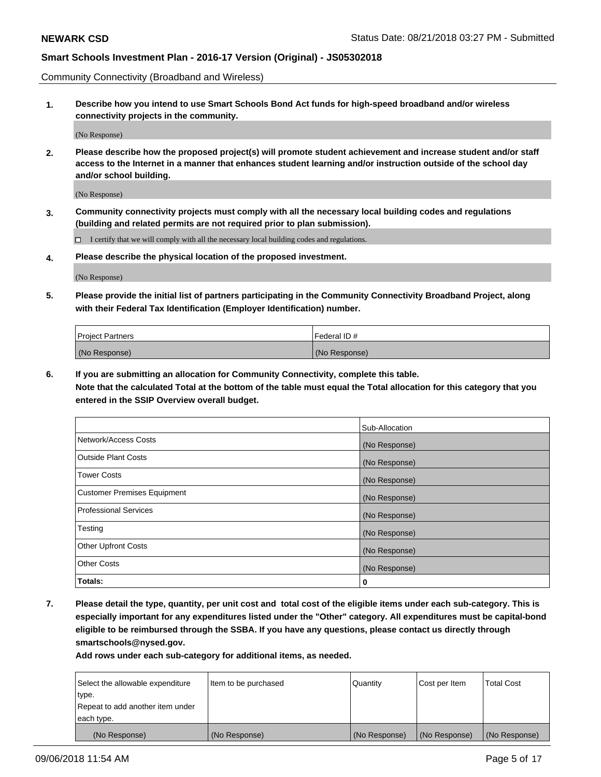Community Connectivity (Broadband and Wireless)

**1. Describe how you intend to use Smart Schools Bond Act funds for high-speed broadband and/or wireless connectivity projects in the community.**

(No Response)

**2. Please describe how the proposed project(s) will promote student achievement and increase student and/or staff access to the Internet in a manner that enhances student learning and/or instruction outside of the school day and/or school building.**

(No Response)

**3. Community connectivity projects must comply with all the necessary local building codes and regulations (building and related permits are not required prior to plan submission).**

 $\Box$  I certify that we will comply with all the necessary local building codes and regulations.

**4. Please describe the physical location of the proposed investment.**

(No Response)

**5. Please provide the initial list of partners participating in the Community Connectivity Broadband Project, along with their Federal Tax Identification (Employer Identification) number.**

| <b>Project Partners</b> | Federal ID#   |
|-------------------------|---------------|
| (No Response)           | (No Response) |

**6. If you are submitting an allocation for Community Connectivity, complete this table.**

**Note that the calculated Total at the bottom of the table must equal the Total allocation for this category that you entered in the SSIP Overview overall budget.**

|                                    | Sub-Allocation |
|------------------------------------|----------------|
| Network/Access Costs               | (No Response)  |
| <b>Outside Plant Costs</b>         | (No Response)  |
| <b>Tower Costs</b>                 | (No Response)  |
| <b>Customer Premises Equipment</b> | (No Response)  |
| <b>Professional Services</b>       | (No Response)  |
| Testing                            | (No Response)  |
| <b>Other Upfront Costs</b>         | (No Response)  |
| <b>Other Costs</b>                 | (No Response)  |
| Totals:                            | 0              |

**7. Please detail the type, quantity, per unit cost and total cost of the eligible items under each sub-category. This is especially important for any expenditures listed under the "Other" category. All expenditures must be capital-bond eligible to be reimbursed through the SSBA. If you have any questions, please contact us directly through smartschools@nysed.gov.**

| Select the allowable expenditure | Item to be purchased | Quantity      | Cost per Item | <b>Total Cost</b> |
|----------------------------------|----------------------|---------------|---------------|-------------------|
| type.                            |                      |               |               |                   |
| Repeat to add another item under |                      |               |               |                   |
| each type.                       |                      |               |               |                   |
| (No Response)                    | (No Response)        | (No Response) | (No Response) | (No Response)     |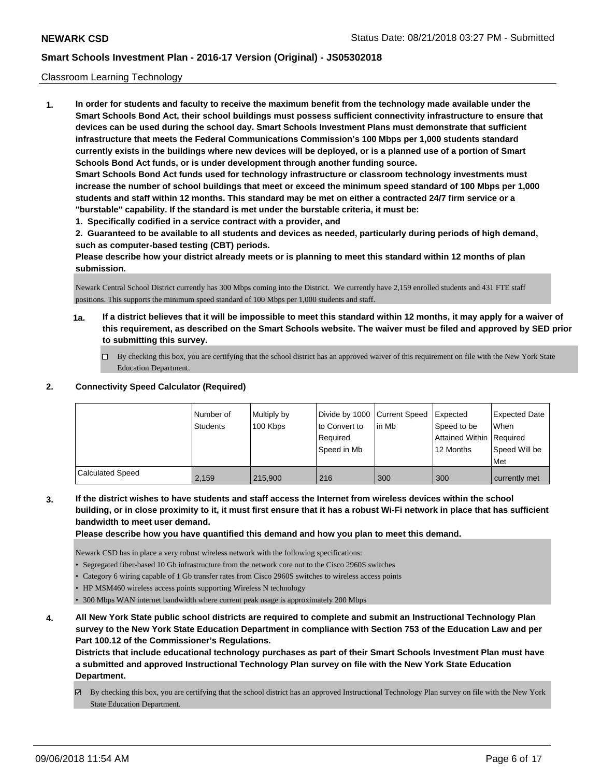#### Classroom Learning Technology

**1. In order for students and faculty to receive the maximum benefit from the technology made available under the Smart Schools Bond Act, their school buildings must possess sufficient connectivity infrastructure to ensure that devices can be used during the school day. Smart Schools Investment Plans must demonstrate that sufficient infrastructure that meets the Federal Communications Commission's 100 Mbps per 1,000 students standard currently exists in the buildings where new devices will be deployed, or is a planned use of a portion of Smart Schools Bond Act funds, or is under development through another funding source. Smart Schools Bond Act funds used for technology infrastructure or classroom technology investments must increase the number of school buildings that meet or exceed the minimum speed standard of 100 Mbps per 1,000 students and staff within 12 months. This standard may be met on either a contracted 24/7 firm service or a "burstable" capability. If the standard is met under the burstable criteria, it must be:**

**1. Specifically codified in a service contract with a provider, and**

**2. Guaranteed to be available to all students and devices as needed, particularly during periods of high demand, such as computer-based testing (CBT) periods.**

**Please describe how your district already meets or is planning to meet this standard within 12 months of plan submission.**

Newark Central School District currently has 300 Mbps coming into the District. We currently have 2,159 enrolled students and 431 FTE staff positions. This supports the minimum speed standard of 100 Mbps per 1,000 students and staff.

- **1a. If a district believes that it will be impossible to meet this standard within 12 months, it may apply for a waiver of this requirement, as described on the Smart Schools website. The waiver must be filed and approved by SED prior to submitting this survey.**
	- By checking this box, you are certifying that the school district has an approved waiver of this requirement on file with the New York State Education Department.

#### **2. Connectivity Speed Calculator (Required)**

|                         | l Number of | Multiply by | Divide by 1000 Current Speed |        | <b>I</b> Expected        | <b>Expected Date</b> |
|-------------------------|-------------|-------------|------------------------------|--------|--------------------------|----------------------|
|                         | Students    | 100 Kbps    | to Convert to                | lin Mb | Speed to be              | <b>When</b>          |
|                         |             |             | Required                     |        | Attained Within Required |                      |
|                         |             |             | Speed in Mb                  |        | 12 Months                | Speed Will be        |
|                         |             |             |                              |        |                          | Met                  |
| <b>Calculated Speed</b> | 2.159       | 215,900     | 216                          | 300    | 300                      | currently met        |

**3. If the district wishes to have students and staff access the Internet from wireless devices within the school building, or in close proximity to it, it must first ensure that it has a robust Wi-Fi network in place that has sufficient bandwidth to meet user demand.**

**Please describe how you have quantified this demand and how you plan to meet this demand.**

Newark CSD has in place a very robust wireless network with the following specifications:

- Segregated fiber-based 10 Gb infrastructure from the network core out to the Cisco 2960S switches
- Category 6 wiring capable of 1 Gb transfer rates from Cisco 2960S switches to wireless access points
- HP MSM460 wireless access points supporting Wireless N technology

• 300 Mbps WAN internet bandwidth where current peak usage is approximately 200 Mbps

**4. All New York State public school districts are required to complete and submit an Instructional Technology Plan survey to the New York State Education Department in compliance with Section 753 of the Education Law and per Part 100.12 of the Commissioner's Regulations.**

**Districts that include educational technology purchases as part of their Smart Schools Investment Plan must have a submitted and approved Instructional Technology Plan survey on file with the New York State Education Department.**

By checking this box, you are certifying that the school district has an approved Instructional Technology Plan survey on file with the New York State Education Department.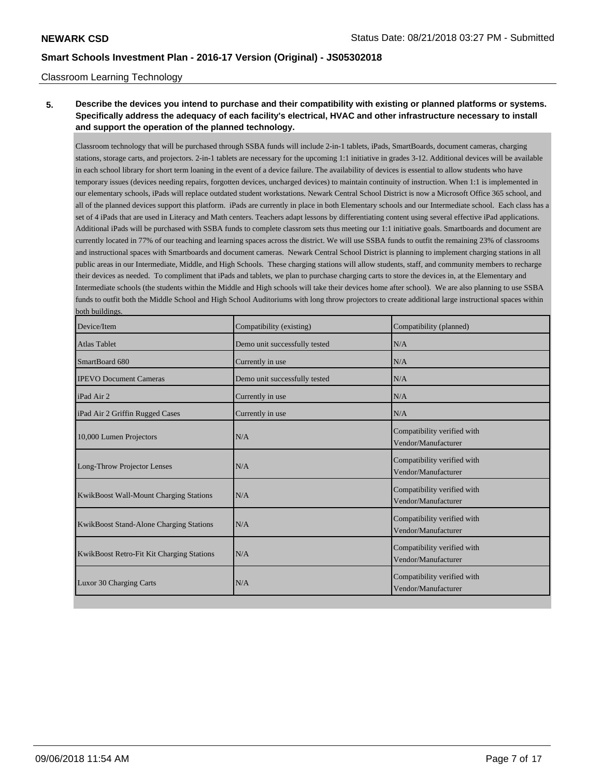#### Classroom Learning Technology

## **5. Describe the devices you intend to purchase and their compatibility with existing or planned platforms or systems. Specifically address the adequacy of each facility's electrical, HVAC and other infrastructure necessary to install and support the operation of the planned technology.**

Classroom technology that will be purchased through SSBA funds will include 2-in-1 tablets, iPads, SmartBoards, document cameras, charging stations, storage carts, and projectors. 2-in-1 tablets are necessary for the upcoming 1:1 initiative in grades 3-12. Additional devices will be available in each school library for short term loaning in the event of a device failure. The availability of devices is essential to allow students who have temporary issues (devices needing repairs, forgotten devices, uncharged devices) to maintain continuity of instruction. When 1:1 is implemented in our elementary schools, iPads will replace outdated student workstations. Newark Central School District is now a Microsoft Office 365 school, and all of the planned devices support this platform. iPads are currently in place in both Elementary schools and our Intermediate school. Each class has a set of 4 iPads that are used in Literacy and Math centers. Teachers adapt lessons by differentiating content using several effective iPad applications. Additional iPads will be purchased with SSBA funds to complete classrom sets thus meeting our 1:1 initiative goals. Smartboards and document are currently located in 77% of our teaching and learning spaces across the district. We will use SSBA funds to outfit the remaining 23% of classrooms and instructional spaces with Smartboards and document cameras. Newark Central School District is planning to implement charging stations in all public areas in our Intermediate, Middle, and High Schools. These charging stations will allow students, staff, and community members to recharge their devices as needed. To compliment that iPads and tablets, we plan to purchase charging carts to store the devices in, at the Elementary and Intermediate schools (the students within the Middle and High schools will take their devices home after school). We are also planning to use SSBA funds to outfit both the Middle School and High School Auditoriums with long throw projectors to create additional large instructional spaces within both buildings.

| Device/Item                               | Compatibility (existing)      | Compatibility (planned)                            |
|-------------------------------------------|-------------------------------|----------------------------------------------------|
| <b>Atlas Tablet</b>                       | Demo unit successfully tested | N/A                                                |
| SmartBoard 680                            | Currently in use              | N/A                                                |
| <b>IPEVO Document Cameras</b>             | Demo unit successfully tested | N/A                                                |
| iPad Air 2                                | Currently in use              | N/A                                                |
| iPad Air 2 Griffin Rugged Cases           | Currently in use              | N/A                                                |
| 10,000 Lumen Projectors                   | N/A                           | Compatibility verified with<br>Vendor/Manufacturer |
| Long-Throw Projector Lenses               | N/A                           | Compatibility verified with<br>Vendor/Manufacturer |
| KwikBoost Wall-Mount Charging Stations    | N/A                           | Compatibility verified with<br>Vendor/Manufacturer |
| KwikBoost Stand-Alone Charging Stations   | N/A                           | Compatibility verified with<br>Vendor/Manufacturer |
| KwikBoost Retro-Fit Kit Charging Stations | N/A                           | Compatibility verified with<br>Vendor/Manufacturer |
| Luxor 30 Charging Carts                   | N/A                           | Compatibility verified with<br>Vendor/Manufacturer |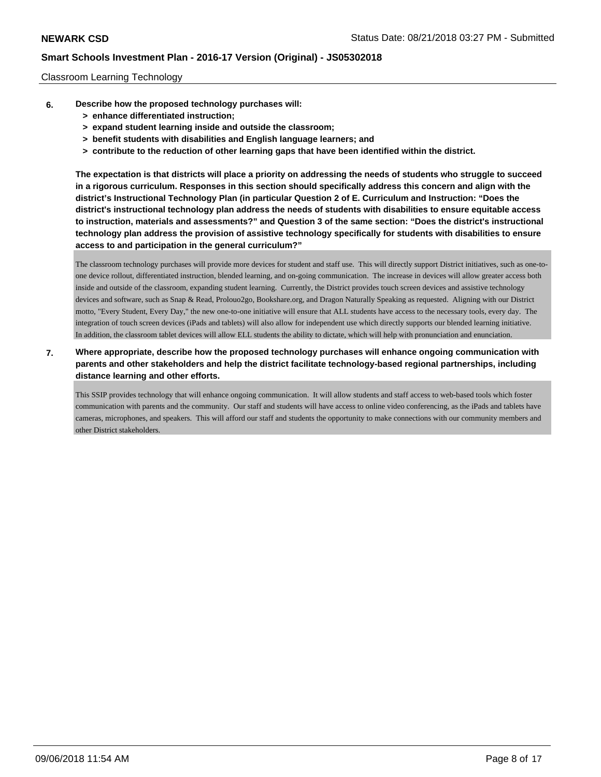#### Classroom Learning Technology

- **6. Describe how the proposed technology purchases will:**
	- **> enhance differentiated instruction;**
	- **> expand student learning inside and outside the classroom;**
	- **> benefit students with disabilities and English language learners; and**
	- **> contribute to the reduction of other learning gaps that have been identified within the district.**

**The expectation is that districts will place a priority on addressing the needs of students who struggle to succeed in a rigorous curriculum. Responses in this section should specifically address this concern and align with the district's Instructional Technology Plan (in particular Question 2 of E. Curriculum and Instruction: "Does the district's instructional technology plan address the needs of students with disabilities to ensure equitable access to instruction, materials and assessments?" and Question 3 of the same section: "Does the district's instructional technology plan address the provision of assistive technology specifically for students with disabilities to ensure access to and participation in the general curriculum?"**

The classroom technology purchases will provide more devices for student and staff use. This will directly support District initiatives, such as one-toone device rollout, differentiated instruction, blended learning, and on-going communication. The increase in devices will allow greater access both inside and outside of the classroom, expanding student learning. Currently, the District provides touch screen devices and assistive technology devices and software, such as Snap & Read, Prolouo2go, Bookshare.org, and Dragon Naturally Speaking as requested. Aligning with our District motto, "Every Student, Every Day," the new one-to-one initiative will ensure that ALL students have access to the necessary tools, every day. The integration of touch screen devices (iPads and tablets) will also allow for independent use which directly supports our blended learning initiative. In addition, the classroom tablet devices will allow ELL students the ability to dictate, which will help with pronunciation and enunciation.

**7. Where appropriate, describe how the proposed technology purchases will enhance ongoing communication with parents and other stakeholders and help the district facilitate technology-based regional partnerships, including distance learning and other efforts.**

This SSIP provides technology that will enhance ongoing communication. It will allow students and staff access to web-based tools which foster communication with parents and the community. Our staff and students will have access to online video conferencing, as the iPads and tablets have cameras, microphones, and speakers. This will afford our staff and students the opportunity to make connections with our community members and other District stakeholders.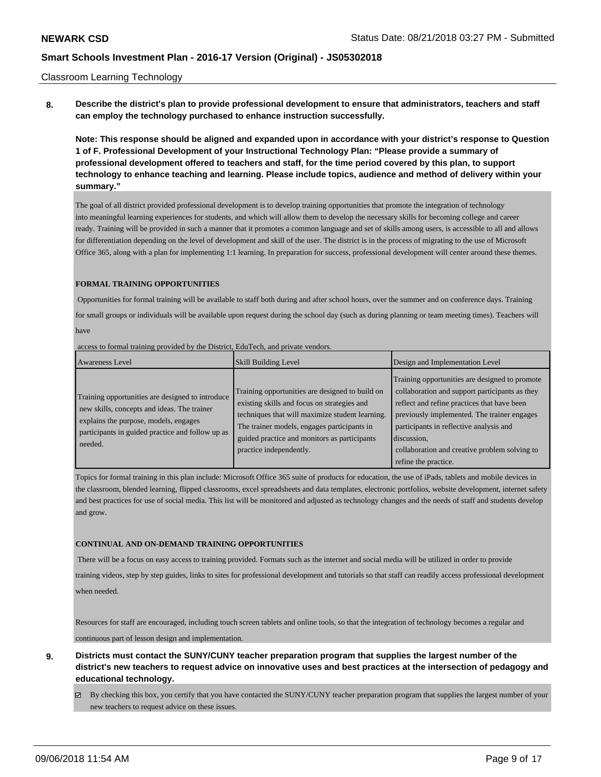#### Classroom Learning Technology

**8. Describe the district's plan to provide professional development to ensure that administrators, teachers and staff can employ the technology purchased to enhance instruction successfully.**

**Note: This response should be aligned and expanded upon in accordance with your district's response to Question 1 of F. Professional Development of your Instructional Technology Plan: "Please provide a summary of professional development offered to teachers and staff, for the time period covered by this plan, to support technology to enhance teaching and learning. Please include topics, audience and method of delivery within your summary."**

The goal of all district provided professional development is to develop training opportunities that promote the integration of technology into meaningful learning experiences for students, and which will allow them to develop the necessary skills for becoming college and career ready. Training will be provided in such a manner that it promotes a common language and set of skills among users, is accessible to all and allows for differentiation depending on the level of development and skill of the user. The district is in the process of migrating to the use of Microsoft Office 365, along with a plan for implementing 1:1 learning. In preparation for success, professional development will center around these themes.

#### **FORMAL TRAINING OPPORTUNITIES**

 Opportunities for formal training will be available to staff both during and after school hours, over the summer and on conference days. Training for small groups or individuals will be available upon request during the school day (such as during planning or team meeting times). Teachers will have

access to formal training provided by the District, EduTech, and private vendors.

| Awareness Level                                                                                                                                                                                         | <b>Skill Building Level</b>                                                                                                                                                                                                                                                 | Design and Implementation Level                                                                                                                                                                                                                                                                                                   |
|---------------------------------------------------------------------------------------------------------------------------------------------------------------------------------------------------------|-----------------------------------------------------------------------------------------------------------------------------------------------------------------------------------------------------------------------------------------------------------------------------|-----------------------------------------------------------------------------------------------------------------------------------------------------------------------------------------------------------------------------------------------------------------------------------------------------------------------------------|
| Training opportunities are designed to introduce<br>new skills, concepts and ideas. The trainer<br>explains the purpose, models, engages<br>participants in guided practice and follow up as<br>needed. | Training opportunities are designed to build on<br>existing skills and focus on strategies and<br>techniques that will maximize student learning.<br>The trainer models, engages participants in<br>guided practice and monitors as participants<br>practice independently. | Training opportunities are designed to promote<br>collaboration and support participants as they<br>reflect and refine practices that have been<br>previously implemented. The trainer engages<br>participants in reflective analysis and<br>discussion,<br>collaboration and creative problem solving to<br>refine the practice. |

Topics for formal training in this plan include: Microsoft Office 365 suite of products for education, the use of iPads, tablets and mobile devices in the classroom, blended learning, flipped classrooms, excel spreadsheets and data templates, electronic portfolios, website development, internet safety and best practices for use of social media. This list will be monitored and adjusted as technology changes and the needs of staff and students develop and grow.

#### **CONTINUAL AND ON-DEMAND TRAINING OPPORTUNITIES**

There will be a focus on easy access to training provided. Formats such as the internet and social media will be utilized in order to provide

training videos, step by step guides, links to sites for professional development and tutorials so that staff can readily access professional development when needed.

Resources for staff are encouraged, including touch screen tablets and online tools, so that the integration of technology becomes a regular and continuous part of lesson design and implementation.

- **9. Districts must contact the SUNY/CUNY teacher preparation program that supplies the largest number of the district's new teachers to request advice on innovative uses and best practices at the intersection of pedagogy and educational technology.**
	- $\boxtimes$  By checking this box, you certify that you have contacted the SUNY/CUNY teacher preparation program that supplies the largest number of your new teachers to request advice on these issues.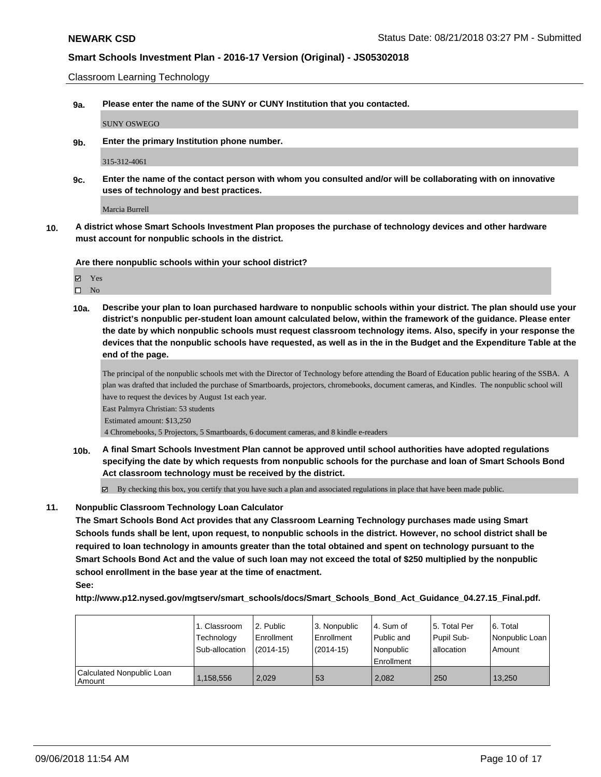Classroom Learning Technology

**9a. Please enter the name of the SUNY or CUNY Institution that you contacted.**

SUNY OSWEGO

**9b. Enter the primary Institution phone number.**

315-312-4061

**9c. Enter the name of the contact person with whom you consulted and/or will be collaborating with on innovative uses of technology and best practices.**

Marcia Burrell

**10. A district whose Smart Schools Investment Plan proposes the purchase of technology devices and other hardware must account for nonpublic schools in the district.**

**Are there nonpublic schools within your school district?**

Yes

 $\square$  No

**10a. Describe your plan to loan purchased hardware to nonpublic schools within your district. The plan should use your district's nonpublic per-student loan amount calculated below, within the framework of the guidance. Please enter the date by which nonpublic schools must request classroom technology items. Also, specify in your response the devices that the nonpublic schools have requested, as well as in the in the Budget and the Expenditure Table at the end of the page.**

The principal of the nonpublic schools met with the Director of Technology before attending the Board of Education public hearing of the SSBA. A plan was drafted that included the purchase of Smartboards, projectors, chromebooks, document cameras, and Kindles. The nonpublic school will have to request the devices by August 1st each year.

East Palmyra Christian: 53 students Estimated amount: \$13,250

4 Chromebooks, 5 Projectors, 5 Smartboards, 6 document cameras, and 8 kindle e-readers

**10b. A final Smart Schools Investment Plan cannot be approved until school authorities have adopted regulations specifying the date by which requests from nonpublic schools for the purchase and loan of Smart Schools Bond Act classroom technology must be received by the district.**

 $\boxtimes$  By checking this box, you certify that you have such a plan and associated regulations in place that have been made public.

#### **11. Nonpublic Classroom Technology Loan Calculator**

**The Smart Schools Bond Act provides that any Classroom Learning Technology purchases made using Smart Schools funds shall be lent, upon request, to nonpublic schools in the district. However, no school district shall be required to loan technology in amounts greater than the total obtained and spent on technology pursuant to the Smart Schools Bond Act and the value of such loan may not exceed the total of \$250 multiplied by the nonpublic school enrollment in the base year at the time of enactment.**

**http://www.p12.nysed.gov/mgtserv/smart\_schools/docs/Smart\_Schools\_Bond\_Act\_Guidance\_04.27.15\_Final.pdf.**

|                                       | 1. Classroom<br>Technology<br>Sub-allocation | 2. Public<br>Enrollment<br>$(2014-15)$ | l 3. Nonpublic<br>Enrollment<br>$(2014-15)$ | l 4. Sum of<br>Public and<br>Nonpublic<br>Enrollment | 15. Total Per<br>Pupil Sub-<br>lallocation | l 6. Total<br>Nonpublic Loan<br>Amount |
|---------------------------------------|----------------------------------------------|----------------------------------------|---------------------------------------------|------------------------------------------------------|--------------------------------------------|----------------------------------------|
| Calculated Nonpublic Loan<br>l Amount | 1,158,556                                    | 2.029                                  | 53                                          | 2.082                                                | 250                                        | 13.250                                 |

**See:**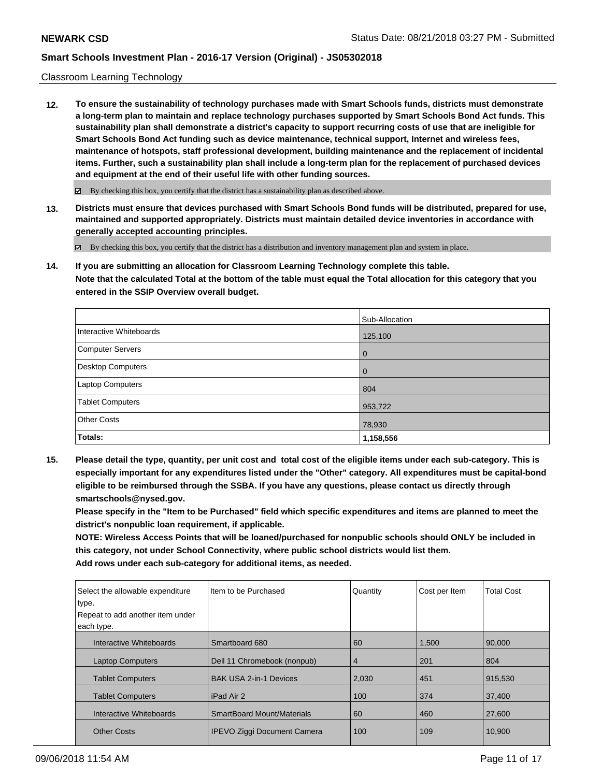#### Classroom Learning Technology

**12. To ensure the sustainability of technology purchases made with Smart Schools funds, districts must demonstrate a long-term plan to maintain and replace technology purchases supported by Smart Schools Bond Act funds. This sustainability plan shall demonstrate a district's capacity to support recurring costs of use that are ineligible for Smart Schools Bond Act funding such as device maintenance, technical support, Internet and wireless fees, maintenance of hotspots, staff professional development, building maintenance and the replacement of incidental items. Further, such a sustainability plan shall include a long-term plan for the replacement of purchased devices and equipment at the end of their useful life with other funding sources.**

By checking this box, you certify that the district has a sustainability plan as described above.

**13. Districts must ensure that devices purchased with Smart Schools Bond funds will be distributed, prepared for use, maintained and supported appropriately. Districts must maintain detailed device inventories in accordance with generally accepted accounting principles.**

By checking this box, you certify that the district has a distribution and inventory management plan and system in place.

**14. If you are submitting an allocation for Classroom Learning Technology complete this table. Note that the calculated Total at the bottom of the table must equal the Total allocation for this category that you entered in the SSIP Overview overall budget.**

|                         | Sub-Allocation |
|-------------------------|----------------|
| Interactive Whiteboards | 125,100        |
| Computer Servers        | $\overline{0}$ |
| Desktop Computers       | $\overline{0}$ |
| Laptop Computers        | 804            |
| <b>Tablet Computers</b> | 953,722        |
| <b>Other Costs</b>      | 78,930         |
| Totals:                 | 1,158,556      |

**15. Please detail the type, quantity, per unit cost and total cost of the eligible items under each sub-category. This is especially important for any expenditures listed under the "Other" category. All expenditures must be capital-bond eligible to be reimbursed through the SSBA. If you have any questions, please contact us directly through smartschools@nysed.gov.**

**Please specify in the "Item to be Purchased" field which specific expenditures and items are planned to meet the district's nonpublic loan requirement, if applicable.**

**NOTE: Wireless Access Points that will be loaned/purchased for nonpublic schools should ONLY be included in this category, not under School Connectivity, where public school districts would list them. Add rows under each sub-category for additional items, as needed.**

| Select the allowable expenditure<br>type.<br>Repeat to add another item under<br>each type. | Item to be Purchased               | Quantity | Cost per Item | <b>Total Cost</b> |
|---------------------------------------------------------------------------------------------|------------------------------------|----------|---------------|-------------------|
| Interactive Whiteboards                                                                     | Smartboard 680                     | 60       | 1,500         | 90,000            |
| <b>Laptop Computers</b>                                                                     | Dell 11 Chromebook (nonpub)        | 4        | 201           | 804               |
| <b>Tablet Computers</b>                                                                     | <b>BAK USA 2-in-1 Devices</b>      | 2,030    | 451           | 915,530           |
| <b>Tablet Computers</b>                                                                     | iPad Air 2                         | 100      | 374           | 37,400            |
| Interactive Whiteboards                                                                     | <b>SmartBoard Mount/Materials</b>  | 60       | 460           | 27,600            |
| <b>Other Costs</b>                                                                          | <b>IPEVO Ziggi Document Camera</b> | 100      | 109           | 10,900            |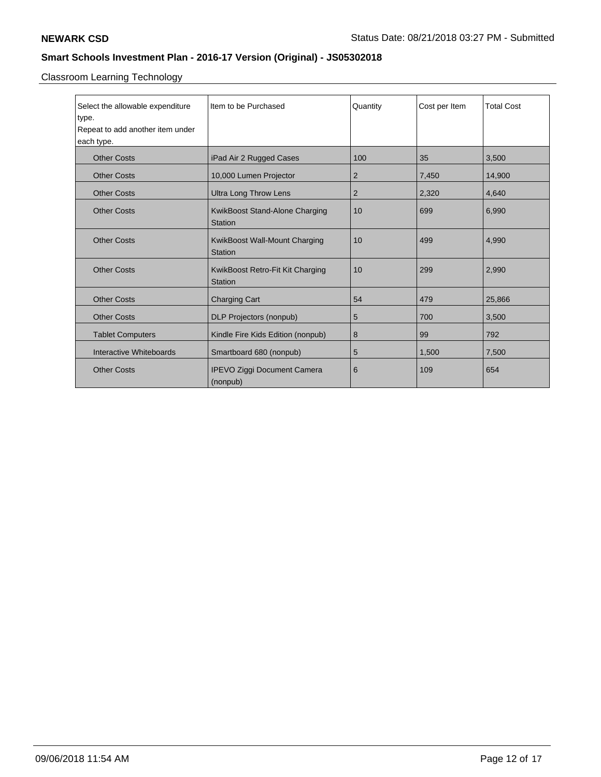Classroom Learning Technology

| Select the allowable expenditure | Item to be Purchased               | Quantity       | Cost per Item | <b>Total Cost</b> |
|----------------------------------|------------------------------------|----------------|---------------|-------------------|
| type.                            |                                    |                |               |                   |
| Repeat to add another item under |                                    |                |               |                   |
| each type.                       |                                    |                |               |                   |
| <b>Other Costs</b>               | iPad Air 2 Rugged Cases            | 100            | 35            | 3,500             |
| <b>Other Costs</b>               | 10,000 Lumen Projector             | $\overline{2}$ | 7,450         | 14,900            |
| <b>Other Costs</b>               | <b>Ultra Long Throw Lens</b>       | 2              | 2,320         | 4,640             |
| <b>Other Costs</b>               | KwikBoost Stand-Alone Charging     | 10             | 699           | 6,990             |
|                                  | Station                            |                |               |                   |
| <b>Other Costs</b>               | KwikBoost Wall-Mount Charging      | 10             | 499           | 4,990             |
|                                  | <b>Station</b>                     |                |               |                   |
| <b>Other Costs</b>               | KwikBoost Retro-Fit Kit Charging   | 10             | 299           | 2,990             |
|                                  | Station                            |                |               |                   |
| <b>Other Costs</b>               | <b>Charging Cart</b>               | 54             | 479           | 25,866            |
| <b>Other Costs</b>               | DLP Projectors (nonpub)            | 5              | 700           | 3,500             |
| <b>Tablet Computers</b>          | Kindle Fire Kids Edition (nonpub)  | 8              | 99            | 792               |
| Interactive Whiteboards          | Smartboard 680 (nonpub)            | 5              | 1,500         | 7,500             |
| <b>Other Costs</b>               | <b>IPEVO Ziggi Document Camera</b> | 6              | 109           | 654               |
|                                  | (nonpub)                           |                |               |                   |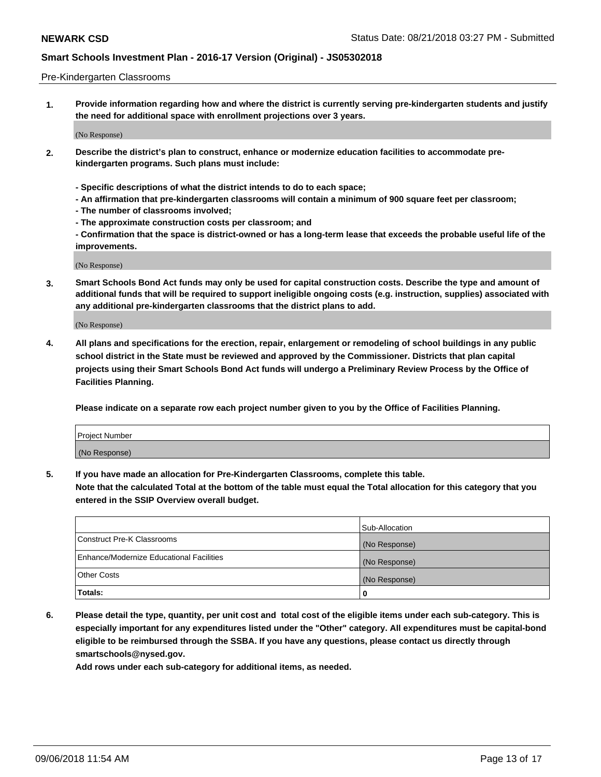#### Pre-Kindergarten Classrooms

**1. Provide information regarding how and where the district is currently serving pre-kindergarten students and justify the need for additional space with enrollment projections over 3 years.**

(No Response)

- **2. Describe the district's plan to construct, enhance or modernize education facilities to accommodate prekindergarten programs. Such plans must include:**
	- **Specific descriptions of what the district intends to do to each space;**
	- **An affirmation that pre-kindergarten classrooms will contain a minimum of 900 square feet per classroom;**
	- **The number of classrooms involved;**
	- **The approximate construction costs per classroom; and**
	- **Confirmation that the space is district-owned or has a long-term lease that exceeds the probable useful life of the improvements.**

(No Response)

**3. Smart Schools Bond Act funds may only be used for capital construction costs. Describe the type and amount of additional funds that will be required to support ineligible ongoing costs (e.g. instruction, supplies) associated with any additional pre-kindergarten classrooms that the district plans to add.**

(No Response)

**4. All plans and specifications for the erection, repair, enlargement or remodeling of school buildings in any public school district in the State must be reviewed and approved by the Commissioner. Districts that plan capital projects using their Smart Schools Bond Act funds will undergo a Preliminary Review Process by the Office of Facilities Planning.**

**Please indicate on a separate row each project number given to you by the Office of Facilities Planning.**

| Project Number |  |
|----------------|--|
| (No Response)  |  |
|                |  |

**5. If you have made an allocation for Pre-Kindergarten Classrooms, complete this table.**

**Note that the calculated Total at the bottom of the table must equal the Total allocation for this category that you entered in the SSIP Overview overall budget.**

|                                          | Sub-Allocation |
|------------------------------------------|----------------|
| Construct Pre-K Classrooms               | (No Response)  |
| Enhance/Modernize Educational Facilities | (No Response)  |
| <b>Other Costs</b>                       | (No Response)  |
| Totals:                                  | 0              |

**6. Please detail the type, quantity, per unit cost and total cost of the eligible items under each sub-category. This is especially important for any expenditures listed under the "Other" category. All expenditures must be capital-bond eligible to be reimbursed through the SSBA. If you have any questions, please contact us directly through smartschools@nysed.gov.**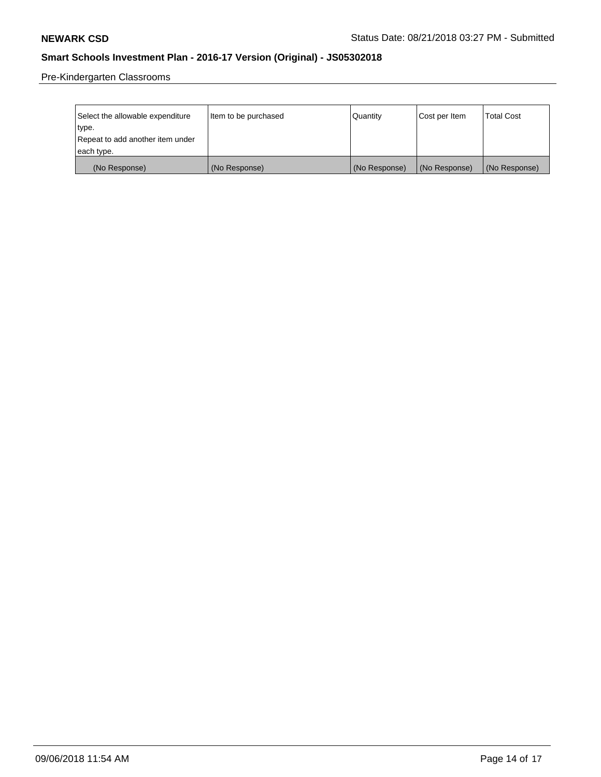Pre-Kindergarten Classrooms

| Select the allowable expenditure | Item to be purchased | Quantity      | Cost per Item | <b>Total Cost</b> |
|----------------------------------|----------------------|---------------|---------------|-------------------|
| type.                            |                      |               |               |                   |
| Repeat to add another item under |                      |               |               |                   |
| each type.                       |                      |               |               |                   |
| (No Response)                    | (No Response)        | (No Response) | (No Response) | (No Response)     |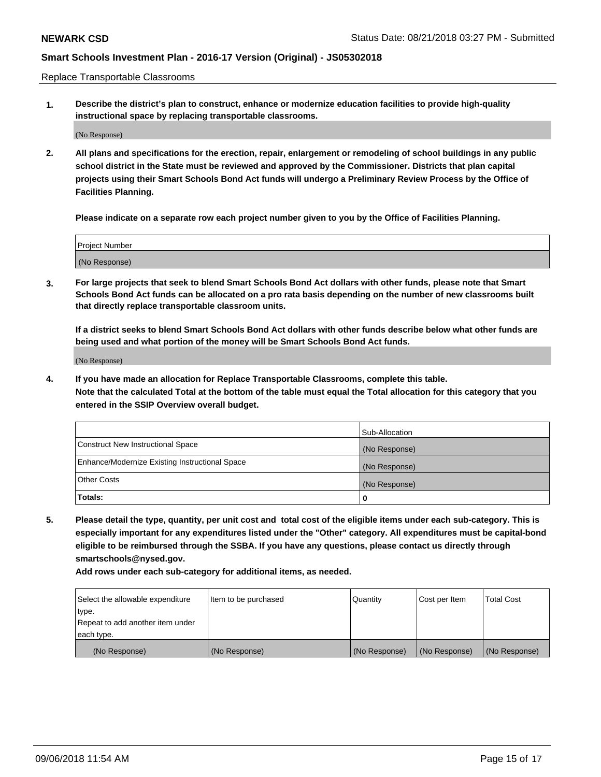Replace Transportable Classrooms

**1. Describe the district's plan to construct, enhance or modernize education facilities to provide high-quality instructional space by replacing transportable classrooms.**

(No Response)

**2. All plans and specifications for the erection, repair, enlargement or remodeling of school buildings in any public school district in the State must be reviewed and approved by the Commissioner. Districts that plan capital projects using their Smart Schools Bond Act funds will undergo a Preliminary Review Process by the Office of Facilities Planning.**

**Please indicate on a separate row each project number given to you by the Office of Facilities Planning.**

| Project Number |  |
|----------------|--|
|                |  |
|                |  |
|                |  |
|                |  |
| (No Response)  |  |
|                |  |
|                |  |
|                |  |

**3. For large projects that seek to blend Smart Schools Bond Act dollars with other funds, please note that Smart Schools Bond Act funds can be allocated on a pro rata basis depending on the number of new classrooms built that directly replace transportable classroom units.**

**If a district seeks to blend Smart Schools Bond Act dollars with other funds describe below what other funds are being used and what portion of the money will be Smart Schools Bond Act funds.**

(No Response)

**4. If you have made an allocation for Replace Transportable Classrooms, complete this table. Note that the calculated Total at the bottom of the table must equal the Total allocation for this category that you entered in the SSIP Overview overall budget.**

|                                                | Sub-Allocation |
|------------------------------------------------|----------------|
| Construct New Instructional Space              | (No Response)  |
| Enhance/Modernize Existing Instructional Space | (No Response)  |
| <b>Other Costs</b>                             | (No Response)  |
| Totals:                                        | 0              |

**5. Please detail the type, quantity, per unit cost and total cost of the eligible items under each sub-category. This is especially important for any expenditures listed under the "Other" category. All expenditures must be capital-bond eligible to be reimbursed through the SSBA. If you have any questions, please contact us directly through smartschools@nysed.gov.**

| Select the allowable expenditure | Item to be purchased | l Quantitv    | Cost per Item | <b>Total Cost</b> |
|----------------------------------|----------------------|---------------|---------------|-------------------|
| type.                            |                      |               |               |                   |
| Repeat to add another item under |                      |               |               |                   |
| each type.                       |                      |               |               |                   |
| (No Response)                    | (No Response)        | (No Response) | (No Response) | (No Response)     |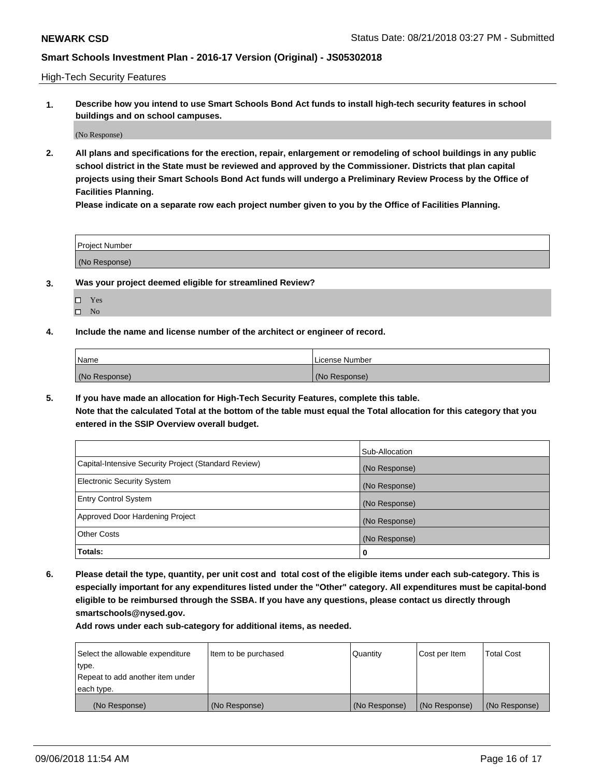High-Tech Security Features

**1. Describe how you intend to use Smart Schools Bond Act funds to install high-tech security features in school buildings and on school campuses.**

(No Response)

**2. All plans and specifications for the erection, repair, enlargement or remodeling of school buildings in any public school district in the State must be reviewed and approved by the Commissioner. Districts that plan capital projects using their Smart Schools Bond Act funds will undergo a Preliminary Review Process by the Office of Facilities Planning.** 

**Please indicate on a separate row each project number given to you by the Office of Facilities Planning.**

| <b>Project Number</b> |  |
|-----------------------|--|
| (No Response)         |  |

- **3. Was your project deemed eligible for streamlined Review?**
	- Yes
	- $\square$  No
- **4. Include the name and license number of the architect or engineer of record.**

| Name          | License Number |
|---------------|----------------|
| (No Response) | (No Response)  |

**5. If you have made an allocation for High-Tech Security Features, complete this table.**

**Note that the calculated Total at the bottom of the table must equal the Total allocation for this category that you entered in the SSIP Overview overall budget.**

|                                                      | Sub-Allocation |
|------------------------------------------------------|----------------|
| Capital-Intensive Security Project (Standard Review) | (No Response)  |
| <b>Electronic Security System</b>                    | (No Response)  |
| <b>Entry Control System</b>                          | (No Response)  |
| Approved Door Hardening Project                      | (No Response)  |
| <b>Other Costs</b>                                   | (No Response)  |
| Totals:                                              | 0              |

**6. Please detail the type, quantity, per unit cost and total cost of the eligible items under each sub-category. This is especially important for any expenditures listed under the "Other" category. All expenditures must be capital-bond eligible to be reimbursed through the SSBA. If you have any questions, please contact us directly through smartschools@nysed.gov.**

| Select the allowable expenditure | Item to be purchased | Quantity      | Cost per Item | <b>Total Cost</b> |
|----------------------------------|----------------------|---------------|---------------|-------------------|
| type.                            |                      |               |               |                   |
| Repeat to add another item under |                      |               |               |                   |
| each type.                       |                      |               |               |                   |
| (No Response)                    | (No Response)        | (No Response) | (No Response) | (No Response)     |